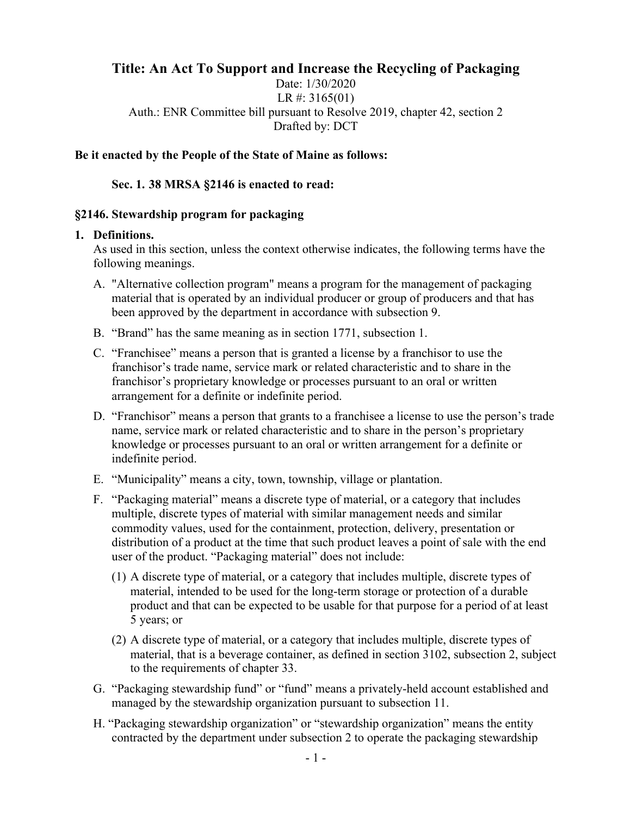# **Title: An Act To Support and Increase the Recycling of Packaging**

Date: 1/30/2020 LR #: 3165(01) Auth.: ENR Committee bill pursuant to Resolve 2019, chapter 42, section 2 Drafted by: DCT

#### **Be it enacted by the People of the State of Maine as follows:**

#### **Sec. 1. 38 MRSA §2146 is enacted to read:**

#### **§2146. Stewardship program for packaging**

#### **1. Definitions.**

As used in this section, unless the context otherwise indicates, the following terms have the following meanings.

- A. "Alternative collection program" means a program for the management of packaging material that is operated by an individual producer or group of producers and that has been approved by the department in accordance with subsection 9.
- B. "Brand" has the same meaning as in section 1771, subsection 1.
- C. "Franchisee" means a person that is granted a license by a franchisor to use the franchisor's trade name, service mark or related characteristic and to share in the franchisor's proprietary knowledge or processes pursuant to an oral or written arrangement for a definite or indefinite period.
- D. "Franchisor" means a person that grants to a franchisee a license to use the person's trade name, service mark or related characteristic and to share in the person's proprietary knowledge or processes pursuant to an oral or written arrangement for a definite or indefinite period.
- E. "Municipality" means a city, town, township, village or plantation.
- F. "Packaging material" means a discrete type of material, or a category that includes multiple, discrete types of material with similar management needs and similar commodity values, used for the containment, protection, delivery, presentation or distribution of a product at the time that such product leaves a point of sale with the end user of the product. "Packaging material" does not include:
	- (1) A discrete type of material, or a category that includes multiple, discrete types of material, intended to be used for the long-term storage or protection of a durable product and that can be expected to be usable for that purpose for a period of at least 5 years; or
	- (2) A discrete type of material, or a category that includes multiple, discrete types of material, that is a beverage container, as defined in section 3102, subsection 2, subject to the requirements of chapter 33.
- G. "Packaging stewardship fund" or "fund" means a privately-held account established and managed by the stewardship organization pursuant to subsection 11.
- H. "Packaging stewardship organization" or "stewardship organization" means the entity contracted by the department under subsection 2 to operate the packaging stewardship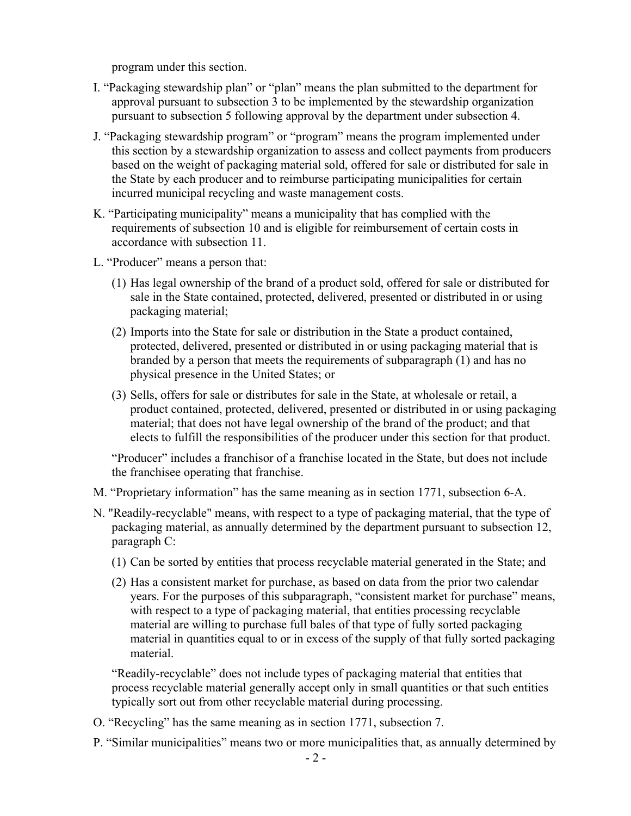program under this section.

- I. "Packaging stewardship plan" or "plan" means the plan submitted to the department for approval pursuant to subsection 3 to be implemented by the stewardship organization pursuant to subsection 5 following approval by the department under subsection 4.
- J. "Packaging stewardship program" or "program" means the program implemented under this section by a stewardship organization to assess and collect payments from producers based on the weight of packaging material sold, offered for sale or distributed for sale in the State by each producer and to reimburse participating municipalities for certain incurred municipal recycling and waste management costs.
- K. "Participating municipality" means a municipality that has complied with the requirements of subsection 10 and is eligible for reimbursement of certain costs in accordance with subsection 11.
- L. "Producer" means a person that:
	- (1) Has legal ownership of the brand of a product sold, offered for sale or distributed for sale in the State contained, protected, delivered, presented or distributed in or using packaging material;
	- (2) Imports into the State for sale or distribution in the State a product contained, protected, delivered, presented or distributed in or using packaging material that is branded by a person that meets the requirements of subparagraph (1) and has no physical presence in the United States; or
	- (3) Sells, offers for sale or distributes for sale in the State, at wholesale or retail, a product contained, protected, delivered, presented or distributed in or using packaging material; that does not have legal ownership of the brand of the product; and that elects to fulfill the responsibilities of the producer under this section for that product.

"Producer" includes a franchisor of a franchise located in the State, but does not include the franchisee operating that franchise.

- M. "Proprietary information" has the same meaning as in section 1771, subsection 6-A.
- N. "Readily-recyclable" means, with respect to a type of packaging material, that the type of packaging material, as annually determined by the department pursuant to subsection 12, paragraph C:
	- (1) Can be sorted by entities that process recyclable material generated in the State; and
	- (2) Has a consistent market for purchase, as based on data from the prior two calendar years. For the purposes of this subparagraph, "consistent market for purchase" means, with respect to a type of packaging material, that entities processing recyclable material are willing to purchase full bales of that type of fully sorted packaging material in quantities equal to or in excess of the supply of that fully sorted packaging material.

"Readily-recyclable" does not include types of packaging material that entities that process recyclable material generally accept only in small quantities or that such entities typically sort out from other recyclable material during processing.

- O. "Recycling" has the same meaning as in section 1771, subsection 7.
- P. "Similar municipalities" means two or more municipalities that, as annually determined by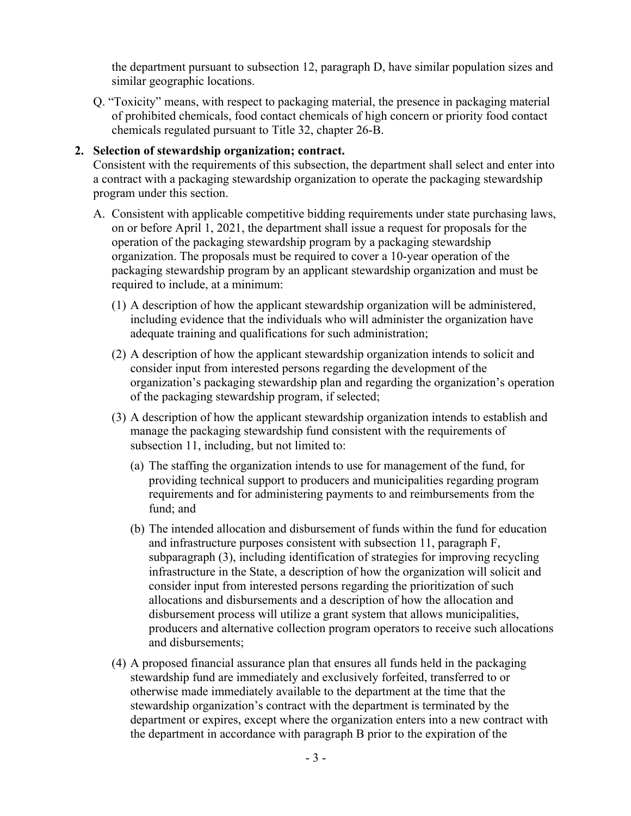the department pursuant to subsection 12, paragraph D, have similar population sizes and similar geographic locations.

Q. "Toxicity" means, with respect to packaging material, the presence in packaging material of prohibited chemicals, food contact chemicals of high concern or priority food contact chemicals regulated pursuant to Title 32, chapter 26-B.

# **2. Selection of stewardship organization; contract.**

Consistent with the requirements of this subsection, the department shall select and enter into a contract with a packaging stewardship organization to operate the packaging stewardship program under this section.

- A. Consistent with applicable competitive bidding requirements under state purchasing laws, on or before April 1, 2021, the department shall issue a request for proposals for the operation of the packaging stewardship program by a packaging stewardship organization. The proposals must be required to cover a 10-year operation of the packaging stewardship program by an applicant stewardship organization and must be required to include, at a minimum:
	- (1) A description of how the applicant stewardship organization will be administered, including evidence that the individuals who will administer the organization have adequate training and qualifications for such administration;
	- (2) A description of how the applicant stewardship organization intends to solicit and consider input from interested persons regarding the development of the organization's packaging stewardship plan and regarding the organization's operation of the packaging stewardship program, if selected;
	- (3) A description of how the applicant stewardship organization intends to establish and manage the packaging stewardship fund consistent with the requirements of subsection 11, including, but not limited to:
		- (a) The staffing the organization intends to use for management of the fund, for providing technical support to producers and municipalities regarding program requirements and for administering payments to and reimbursements from the fund; and
		- (b) The intended allocation and disbursement of funds within the fund for education and infrastructure purposes consistent with subsection 11, paragraph F, subparagraph (3), including identification of strategies for improving recycling infrastructure in the State, a description of how the organization will solicit and consider input from interested persons regarding the prioritization of such allocations and disbursements and a description of how the allocation and disbursement process will utilize a grant system that allows municipalities, producers and alternative collection program operators to receive such allocations and disbursements;
	- (4) A proposed financial assurance plan that ensures all funds held in the packaging stewardship fund are immediately and exclusively forfeited, transferred to or otherwise made immediately available to the department at the time that the stewardship organization's contract with the department is terminated by the department or expires, except where the organization enters into a new contract with the department in accordance with paragraph B prior to the expiration of the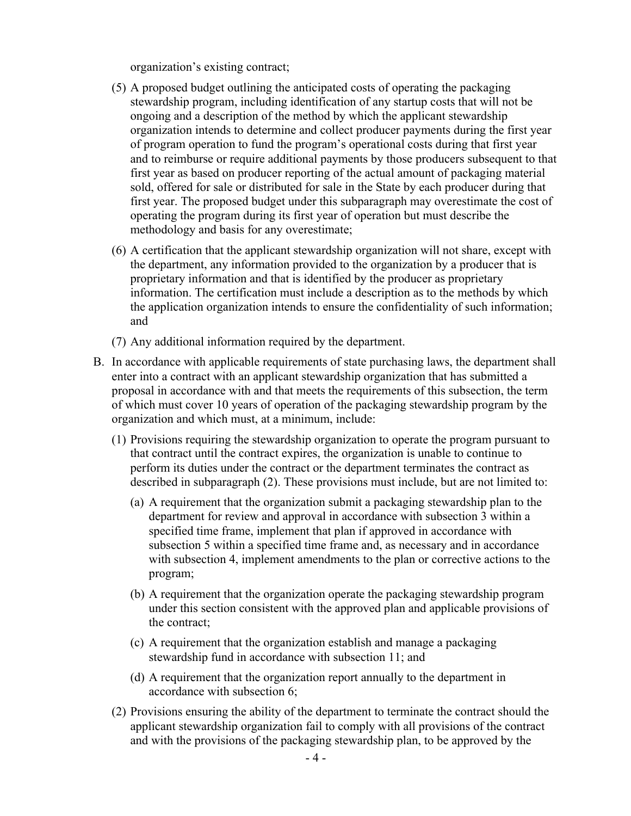organization's existing contract;

- (5) A proposed budget outlining the anticipated costs of operating the packaging stewardship program, including identification of any startup costs that will not be ongoing and a description of the method by which the applicant stewardship organization intends to determine and collect producer payments during the first year of program operation to fund the program's operational costs during that first year and to reimburse or require additional payments by those producers subsequent to that first year as based on producer reporting of the actual amount of packaging material sold, offered for sale or distributed for sale in the State by each producer during that first year. The proposed budget under this subparagraph may overestimate the cost of operating the program during its first year of operation but must describe the methodology and basis for any overestimate;
- (6) A certification that the applicant stewardship organization will not share, except with the department, any information provided to the organization by a producer that is proprietary information and that is identified by the producer as proprietary information. The certification must include a description as to the methods by which the application organization intends to ensure the confidentiality of such information; and
- (7) Any additional information required by the department.
- B. In accordance with applicable requirements of state purchasing laws, the department shall enter into a contract with an applicant stewardship organization that has submitted a proposal in accordance with and that meets the requirements of this subsection, the term of which must cover 10 years of operation of the packaging stewardship program by the organization and which must, at a minimum, include:
	- (1) Provisions requiring the stewardship organization to operate the program pursuant to that contract until the contract expires, the organization is unable to continue to perform its duties under the contract or the department terminates the contract as described in subparagraph (2). These provisions must include, but are not limited to:
		- (a) A requirement that the organization submit a packaging stewardship plan to the department for review and approval in accordance with subsection 3 within a specified time frame, implement that plan if approved in accordance with subsection 5 within a specified time frame and, as necessary and in accordance with subsection 4, implement amendments to the plan or corrective actions to the program;
		- (b) A requirement that the organization operate the packaging stewardship program under this section consistent with the approved plan and applicable provisions of the contract;
		- (c) A requirement that the organization establish and manage a packaging stewardship fund in accordance with subsection 11; and
		- (d) A requirement that the organization report annually to the department in accordance with subsection 6;
	- (2) Provisions ensuring the ability of the department to terminate the contract should the applicant stewardship organization fail to comply with all provisions of the contract and with the provisions of the packaging stewardship plan, to be approved by the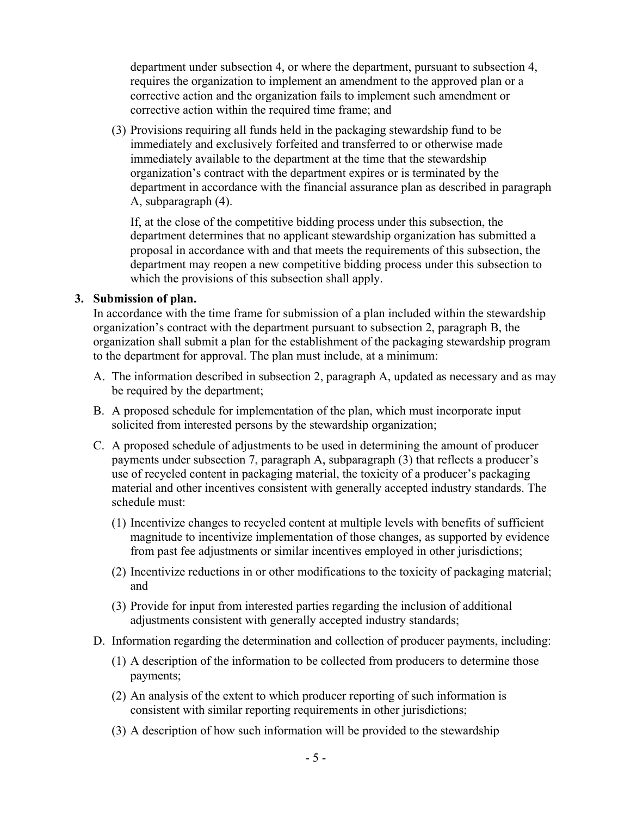department under subsection 4, or where the department, pursuant to subsection 4, requires the organization to implement an amendment to the approved plan or a corrective action and the organization fails to implement such amendment or corrective action within the required time frame; and

(3) Provisions requiring all funds held in the packaging stewardship fund to be immediately and exclusively forfeited and transferred to or otherwise made immediately available to the department at the time that the stewardship organization's contract with the department expires or is terminated by the department in accordance with the financial assurance plan as described in paragraph A, subparagraph (4).

If, at the close of the competitive bidding process under this subsection, the department determines that no applicant stewardship organization has submitted a proposal in accordance with and that meets the requirements of this subsection, the department may reopen a new competitive bidding process under this subsection to which the provisions of this subsection shall apply.

#### **3. Submission of plan.**

In accordance with the time frame for submission of a plan included within the stewardship organization's contract with the department pursuant to subsection 2, paragraph B, the organization shall submit a plan for the establishment of the packaging stewardship program to the department for approval. The plan must include, at a minimum:

- A. The information described in subsection 2, paragraph A, updated as necessary and as may be required by the department;
- B. A proposed schedule for implementation of the plan, which must incorporate input solicited from interested persons by the stewardship organization;
- C. A proposed schedule of adjustments to be used in determining the amount of producer payments under subsection 7, paragraph A, subparagraph (3) that reflects a producer's use of recycled content in packaging material, the toxicity of a producer's packaging material and other incentives consistent with generally accepted industry standards. The schedule must:
	- (1) Incentivize changes to recycled content at multiple levels with benefits of sufficient magnitude to incentivize implementation of those changes, as supported by evidence from past fee adjustments or similar incentives employed in other jurisdictions;
	- (2) Incentivize reductions in or other modifications to the toxicity of packaging material; and
	- (3) Provide for input from interested parties regarding the inclusion of additional adjustments consistent with generally accepted industry standards;
- D. Information regarding the determination and collection of producer payments, including:
	- (1) A description of the information to be collected from producers to determine those payments;
	- (2) An analysis of the extent to which producer reporting of such information is consistent with similar reporting requirements in other jurisdictions;
	- (3) A description of how such information will be provided to the stewardship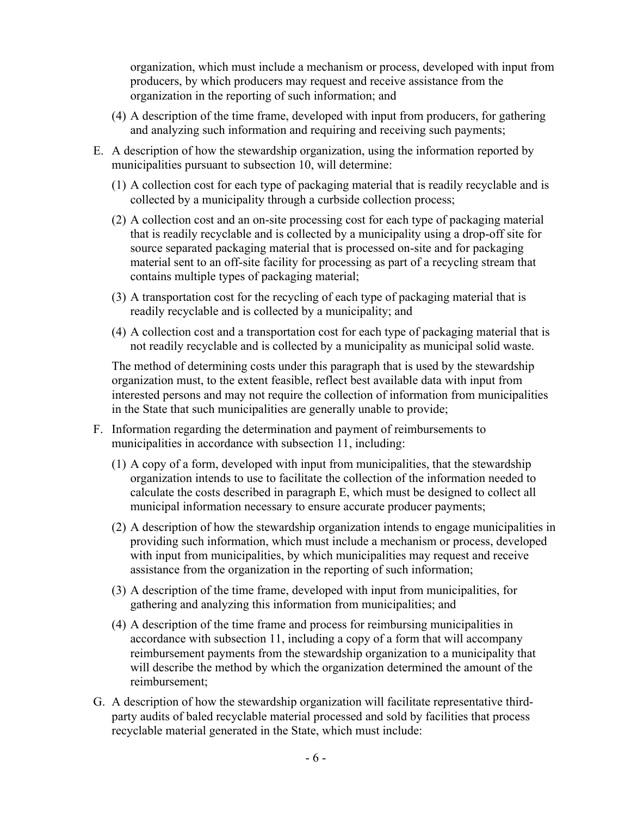organization, which must include a mechanism or process, developed with input from producers, by which producers may request and receive assistance from the organization in the reporting of such information; and

- (4) A description of the time frame, developed with input from producers, for gathering and analyzing such information and requiring and receiving such payments;
- E. A description of how the stewardship organization, using the information reported by municipalities pursuant to subsection 10, will determine:
	- (1) A collection cost for each type of packaging material that is readily recyclable and is collected by a municipality through a curbside collection process;
	- (2) A collection cost and an on-site processing cost for each type of packaging material that is readily recyclable and is collected by a municipality using a drop-off site for source separated packaging material that is processed on-site and for packaging material sent to an off-site facility for processing as part of a recycling stream that contains multiple types of packaging material;
	- (3) A transportation cost for the recycling of each type of packaging material that is readily recyclable and is collected by a municipality; and
	- (4) A collection cost and a transportation cost for each type of packaging material that is not readily recyclable and is collected by a municipality as municipal solid waste.

The method of determining costs under this paragraph that is used by the stewardship organization must, to the extent feasible, reflect best available data with input from interested persons and may not require the collection of information from municipalities in the State that such municipalities are generally unable to provide;

- F. Information regarding the determination and payment of reimbursements to municipalities in accordance with subsection 11, including:
	- (1) A copy of a form, developed with input from municipalities, that the stewardship organization intends to use to facilitate the collection of the information needed to calculate the costs described in paragraph E, which must be designed to collect all municipal information necessary to ensure accurate producer payments;
	- (2) A description of how the stewardship organization intends to engage municipalities in providing such information, which must include a mechanism or process, developed with input from municipalities, by which municipalities may request and receive assistance from the organization in the reporting of such information;
	- (3) A description of the time frame, developed with input from municipalities, for gathering and analyzing this information from municipalities; and
	- (4) A description of the time frame and process for reimbursing municipalities in accordance with subsection 11, including a copy of a form that will accompany reimbursement payments from the stewardship organization to a municipality that will describe the method by which the organization determined the amount of the reimbursement;
- G. A description of how the stewardship organization will facilitate representative thirdparty audits of baled recyclable material processed and sold by facilities that process recyclable material generated in the State, which must include: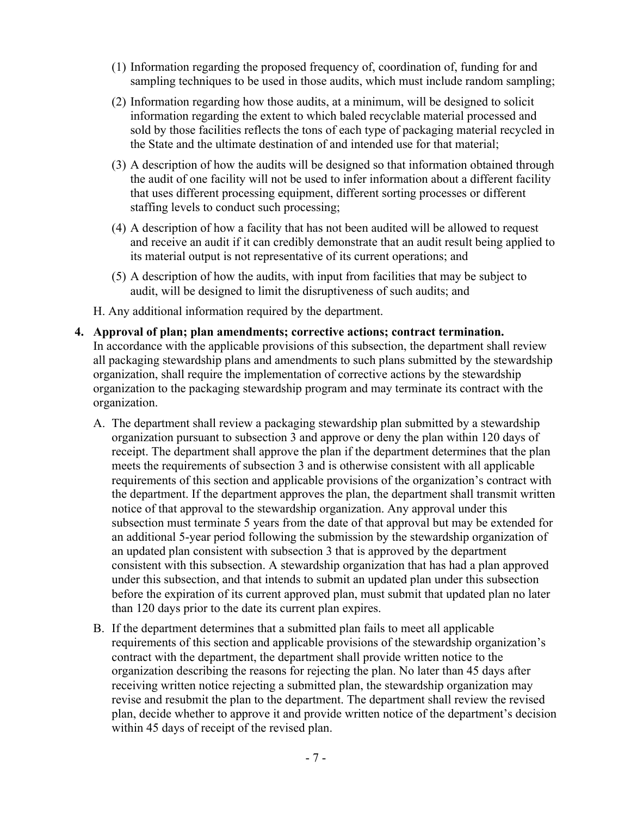- (1) Information regarding the proposed frequency of, coordination of, funding for and sampling techniques to be used in those audits, which must include random sampling;
- (2) Information regarding how those audits, at a minimum, will be designed to solicit information regarding the extent to which baled recyclable material processed and sold by those facilities reflects the tons of each type of packaging material recycled in the State and the ultimate destination of and intended use for that material;
- (3) A description of how the audits will be designed so that information obtained through the audit of one facility will not be used to infer information about a different facility that uses different processing equipment, different sorting processes or different staffing levels to conduct such processing;
- (4) A description of how a facility that has not been audited will be allowed to request and receive an audit if it can credibly demonstrate that an audit result being applied to its material output is not representative of its current operations; and
- (5) A description of how the audits, with input from facilities that may be subject to audit, will be designed to limit the disruptiveness of such audits; and
- H. Any additional information required by the department.
- **4. Approval of plan; plan amendments; corrective actions; contract termination.** In accordance with the applicable provisions of this subsection, the department shall review all packaging stewardship plans and amendments to such plans submitted by the stewardship organization, shall require the implementation of corrective actions by the stewardship organization to the packaging stewardship program and may terminate its contract with the organization.
	- A. The department shall review a packaging stewardship plan submitted by a stewardship organization pursuant to subsection 3 and approve or deny the plan within 120 days of receipt. The department shall approve the plan if the department determines that the plan meets the requirements of subsection 3 and is otherwise consistent with all applicable requirements of this section and applicable provisions of the organization's contract with the department. If the department approves the plan, the department shall transmit written notice of that approval to the stewardship organization. Any approval under this subsection must terminate 5 years from the date of that approval but may be extended for an additional 5-year period following the submission by the stewardship organization of an updated plan consistent with subsection 3 that is approved by the department consistent with this subsection. A stewardship organization that has had a plan approved under this subsection, and that intends to submit an updated plan under this subsection before the expiration of its current approved plan, must submit that updated plan no later than 120 days prior to the date its current plan expires.
	- B. If the department determines that a submitted plan fails to meet all applicable requirements of this section and applicable provisions of the stewardship organization's contract with the department, the department shall provide written notice to the organization describing the reasons for rejecting the plan. No later than 45 days after receiving written notice rejecting a submitted plan, the stewardship organization may revise and resubmit the plan to the department. The department shall review the revised plan, decide whether to approve it and provide written notice of the department's decision within 45 days of receipt of the revised plan.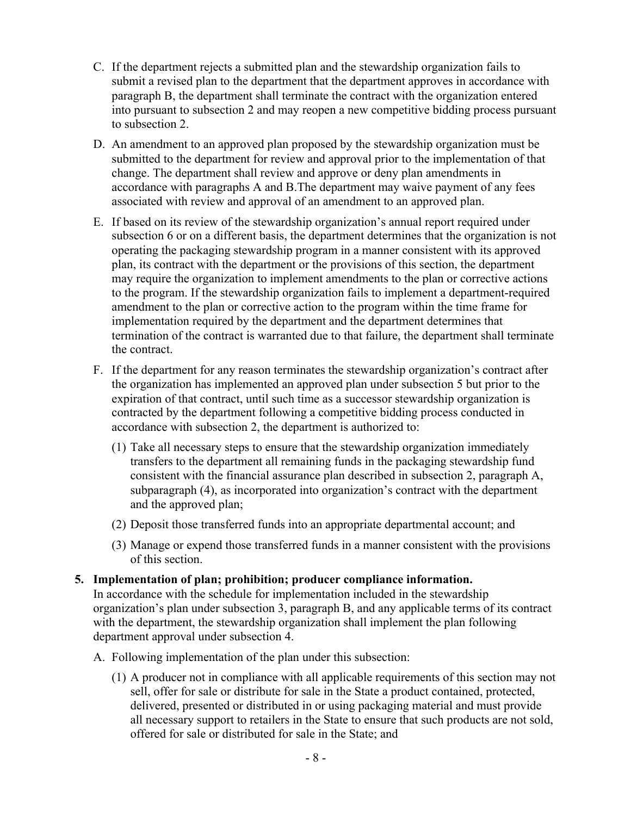- C. If the department rejects a submitted plan and the stewardship organization fails to submit a revised plan to the department that the department approves in accordance with paragraph B, the department shall terminate the contract with the organization entered into pursuant to subsection 2 and may reopen a new competitive bidding process pursuant to subsection 2.
- D. An amendment to an approved plan proposed by the stewardship organization must be submitted to the department for review and approval prior to the implementation of that change. The department shall review and approve or deny plan amendments in accordance with paragraphs A and B.The department may waive payment of any fees associated with review and approval of an amendment to an approved plan.
- E. If based on its review of the stewardship organization's annual report required under subsection 6 or on a different basis, the department determines that the organization is not operating the packaging stewardship program in a manner consistent with its approved plan, its contract with the department or the provisions of this section, the department may require the organization to implement amendments to the plan or corrective actions to the program. If the stewardship organization fails to implement a department-required amendment to the plan or corrective action to the program within the time frame for implementation required by the department and the department determines that termination of the contract is warranted due to that failure, the department shall terminate the contract.
- F. If the department for any reason terminates the stewardship organization's contract after the organization has implemented an approved plan under subsection 5 but prior to the expiration of that contract, until such time as a successor stewardship organization is contracted by the department following a competitive bidding process conducted in accordance with subsection 2, the department is authorized to:
	- (1) Take all necessary steps to ensure that the stewardship organization immediately transfers to the department all remaining funds in the packaging stewardship fund consistent with the financial assurance plan described in subsection 2, paragraph A, subparagraph (4), as incorporated into organization's contract with the department and the approved plan;
	- (2) Deposit those transferred funds into an appropriate departmental account; and
	- (3) Manage or expend those transferred funds in a manner consistent with the provisions of this section.

# **5. Implementation of plan; prohibition; producer compliance information.**

In accordance with the schedule for implementation included in the stewardship organization's plan under subsection 3, paragraph B, and any applicable terms of its contract with the department, the stewardship organization shall implement the plan following department approval under subsection 4.

- A. Following implementation of the plan under this subsection:
	- (1) A producer not in compliance with all applicable requirements of this section may not sell, offer for sale or distribute for sale in the State a product contained, protected, delivered, presented or distributed in or using packaging material and must provide all necessary support to retailers in the State to ensure that such products are not sold, offered for sale or distributed for sale in the State; and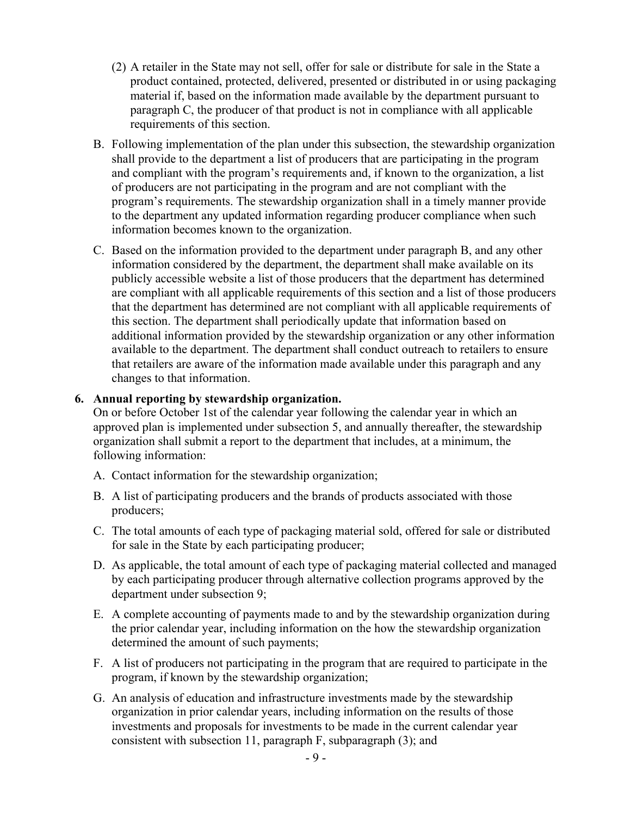- (2) A retailer in the State may not sell, offer for sale or distribute for sale in the State a product contained, protected, delivered, presented or distributed in or using packaging material if, based on the information made available by the department pursuant to paragraph C, the producer of that product is not in compliance with all applicable requirements of this section.
- B. Following implementation of the plan under this subsection, the stewardship organization shall provide to the department a list of producers that are participating in the program and compliant with the program's requirements and, if known to the organization, a list of producers are not participating in the program and are not compliant with the program's requirements. The stewardship organization shall in a timely manner provide to the department any updated information regarding producer compliance when such information becomes known to the organization.
- C. Based on the information provided to the department under paragraph B, and any other information considered by the department, the department shall make available on its publicly accessible website a list of those producers that the department has determined are compliant with all applicable requirements of this section and a list of those producers that the department has determined are not compliant with all applicable requirements of this section. The department shall periodically update that information based on additional information provided by the stewardship organization or any other information available to the department. The department shall conduct outreach to retailers to ensure that retailers are aware of the information made available under this paragraph and any changes to that information.

# **6. Annual reporting by stewardship organization.**

On or before October 1st of the calendar year following the calendar year in which an approved plan is implemented under subsection 5, and annually thereafter, the stewardship organization shall submit a report to the department that includes, at a minimum, the following information:

- A. Contact information for the stewardship organization;
- B. A list of participating producers and the brands of products associated with those producers;
- C. The total amounts of each type of packaging material sold, offered for sale or distributed for sale in the State by each participating producer;
- D. As applicable, the total amount of each type of packaging material collected and managed by each participating producer through alternative collection programs approved by the department under subsection 9;
- E. A complete accounting of payments made to and by the stewardship organization during the prior calendar year, including information on the how the stewardship organization determined the amount of such payments;
- F. A list of producers not participating in the program that are required to participate in the program, if known by the stewardship organization;
- G. An analysis of education and infrastructure investments made by the stewardship organization in prior calendar years, including information on the results of those investments and proposals for investments to be made in the current calendar year consistent with subsection 11, paragraph F, subparagraph (3); and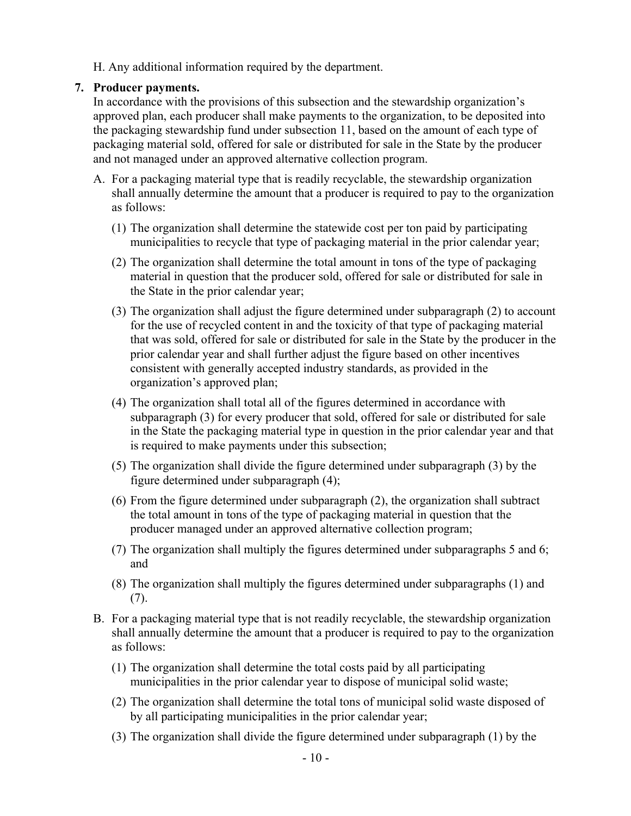H. Any additional information required by the department.

### **7. Producer payments.**

In accordance with the provisions of this subsection and the stewardship organization's approved plan, each producer shall make payments to the organization, to be deposited into the packaging stewardship fund under subsection 11, based on the amount of each type of packaging material sold, offered for sale or distributed for sale in the State by the producer and not managed under an approved alternative collection program.

- A. For a packaging material type that is readily recyclable, the stewardship organization shall annually determine the amount that a producer is required to pay to the organization as follows:
	- (1) The organization shall determine the statewide cost per ton paid by participating municipalities to recycle that type of packaging material in the prior calendar year;
	- (2) The organization shall determine the total amount in tons of the type of packaging material in question that the producer sold, offered for sale or distributed for sale in the State in the prior calendar year;
	- (3) The organization shall adjust the figure determined under subparagraph (2) to account for the use of recycled content in and the toxicity of that type of packaging material that was sold, offered for sale or distributed for sale in the State by the producer in the prior calendar year and shall further adjust the figure based on other incentives consistent with generally accepted industry standards, as provided in the organization's approved plan;
	- (4) The organization shall total all of the figures determined in accordance with subparagraph (3) for every producer that sold, offered for sale or distributed for sale in the State the packaging material type in question in the prior calendar year and that is required to make payments under this subsection;
	- (5) The organization shall divide the figure determined under subparagraph (3) by the figure determined under subparagraph (4);
	- (6) From the figure determined under subparagraph (2), the organization shall subtract the total amount in tons of the type of packaging material in question that the producer managed under an approved alternative collection program;
	- (7) The organization shall multiply the figures determined under subparagraphs 5 and 6; and
	- (8) The organization shall multiply the figures determined under subparagraphs (1) and (7).
- B. For a packaging material type that is not readily recyclable, the stewardship organization shall annually determine the amount that a producer is required to pay to the organization as follows:
	- (1) The organization shall determine the total costs paid by all participating municipalities in the prior calendar year to dispose of municipal solid waste;
	- (2) The organization shall determine the total tons of municipal solid waste disposed of by all participating municipalities in the prior calendar year;
	- (3) The organization shall divide the figure determined under subparagraph (1) by the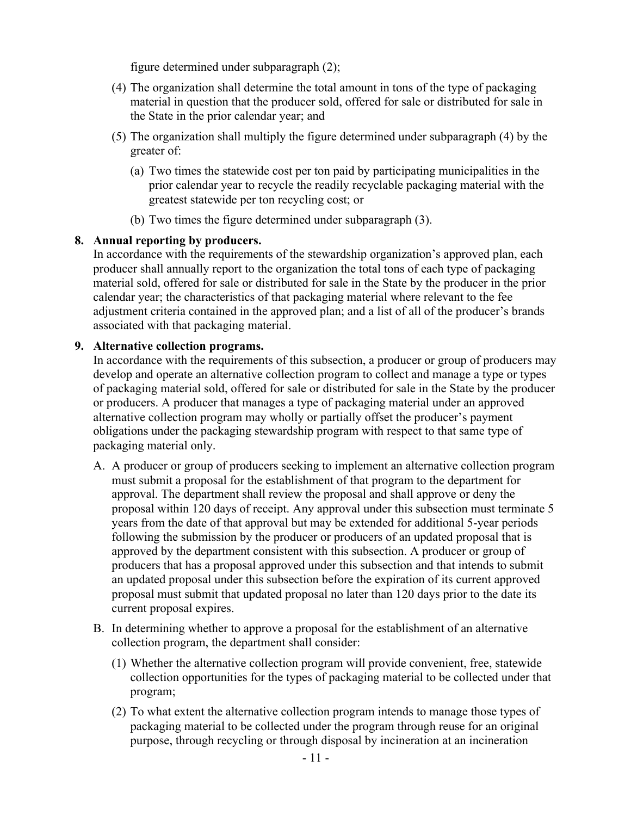figure determined under subparagraph (2);

- (4) The organization shall determine the total amount in tons of the type of packaging material in question that the producer sold, offered for sale or distributed for sale in the State in the prior calendar year; and
- (5) The organization shall multiply the figure determined under subparagraph (4) by the greater of:
	- (a) Two times the statewide cost per ton paid by participating municipalities in the prior calendar year to recycle the readily recyclable packaging material with the greatest statewide per ton recycling cost; or
	- (b) Two times the figure determined under subparagraph (3).

# **8. Annual reporting by producers.**

In accordance with the requirements of the stewardship organization's approved plan, each producer shall annually report to the organization the total tons of each type of packaging material sold, offered for sale or distributed for sale in the State by the producer in the prior calendar year; the characteristics of that packaging material where relevant to the fee adjustment criteria contained in the approved plan; and a list of all of the producer's brands associated with that packaging material.

#### **9. Alternative collection programs.**

In accordance with the requirements of this subsection, a producer or group of producers may develop and operate an alternative collection program to collect and manage a type or types of packaging material sold, offered for sale or distributed for sale in the State by the producer or producers. A producer that manages a type of packaging material under an approved alternative collection program may wholly or partially offset the producer's payment obligations under the packaging stewardship program with respect to that same type of packaging material only.

- A. A producer or group of producers seeking to implement an alternative collection program must submit a proposal for the establishment of that program to the department for approval. The department shall review the proposal and shall approve or deny the proposal within 120 days of receipt. Any approval under this subsection must terminate 5 years from the date of that approval but may be extended for additional 5-year periods following the submission by the producer or producers of an updated proposal that is approved by the department consistent with this subsection. A producer or group of producers that has a proposal approved under this subsection and that intends to submit an updated proposal under this subsection before the expiration of its current approved proposal must submit that updated proposal no later than 120 days prior to the date its current proposal expires.
- B. In determining whether to approve a proposal for the establishment of an alternative collection program, the department shall consider:
	- (1) Whether the alternative collection program will provide convenient, free, statewide collection opportunities for the types of packaging material to be collected under that program;
	- (2) To what extent the alternative collection program intends to manage those types of packaging material to be collected under the program through reuse for an original purpose, through recycling or through disposal by incineration at an incineration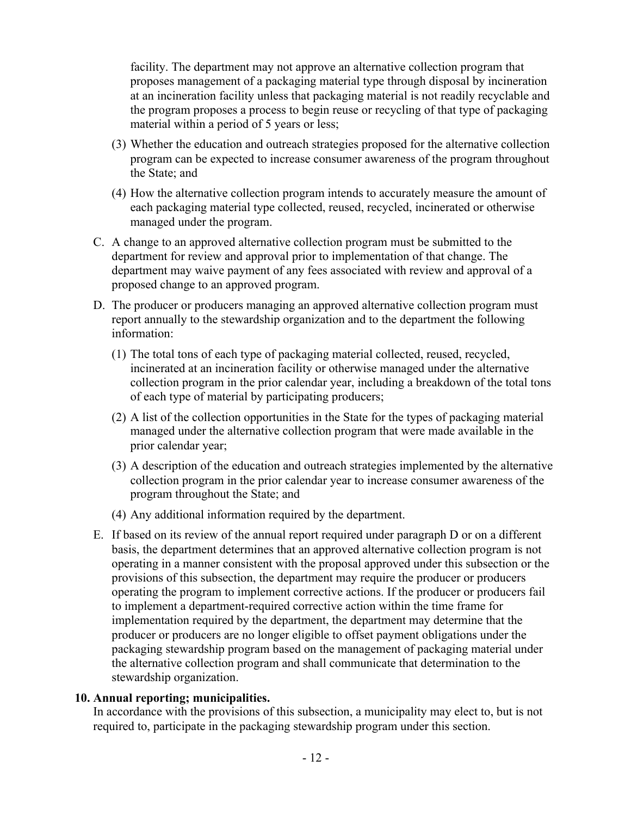facility. The department may not approve an alternative collection program that proposes management of a packaging material type through disposal by incineration at an incineration facility unless that packaging material is not readily recyclable and the program proposes a process to begin reuse or recycling of that type of packaging material within a period of 5 years or less;

- (3) Whether the education and outreach strategies proposed for the alternative collection program can be expected to increase consumer awareness of the program throughout the State; and
- (4) How the alternative collection program intends to accurately measure the amount of each packaging material type collected, reused, recycled, incinerated or otherwise managed under the program.
- C. A change to an approved alternative collection program must be submitted to the department for review and approval prior to implementation of that change. The department may waive payment of any fees associated with review and approval of a proposed change to an approved program.
- D. The producer or producers managing an approved alternative collection program must report annually to the stewardship organization and to the department the following information:
	- (1) The total tons of each type of packaging material collected, reused, recycled, incinerated at an incineration facility or otherwise managed under the alternative collection program in the prior calendar year, including a breakdown of the total tons of each type of material by participating producers;
	- (2) A list of the collection opportunities in the State for the types of packaging material managed under the alternative collection program that were made available in the prior calendar year;
	- (3) A description of the education and outreach strategies implemented by the alternative collection program in the prior calendar year to increase consumer awareness of the program throughout the State; and
	- (4) Any additional information required by the department.
- E. If based on its review of the annual report required under paragraph D or on a different basis, the department determines that an approved alternative collection program is not operating in a manner consistent with the proposal approved under this subsection or the provisions of this subsection, the department may require the producer or producers operating the program to implement corrective actions. If the producer or producers fail to implement a department-required corrective action within the time frame for implementation required by the department, the department may determine that the producer or producers are no longer eligible to offset payment obligations under the packaging stewardship program based on the management of packaging material under the alternative collection program and shall communicate that determination to the stewardship organization.

#### **10. Annual reporting; municipalities.**

In accordance with the provisions of this subsection, a municipality may elect to, but is not required to, participate in the packaging stewardship program under this section.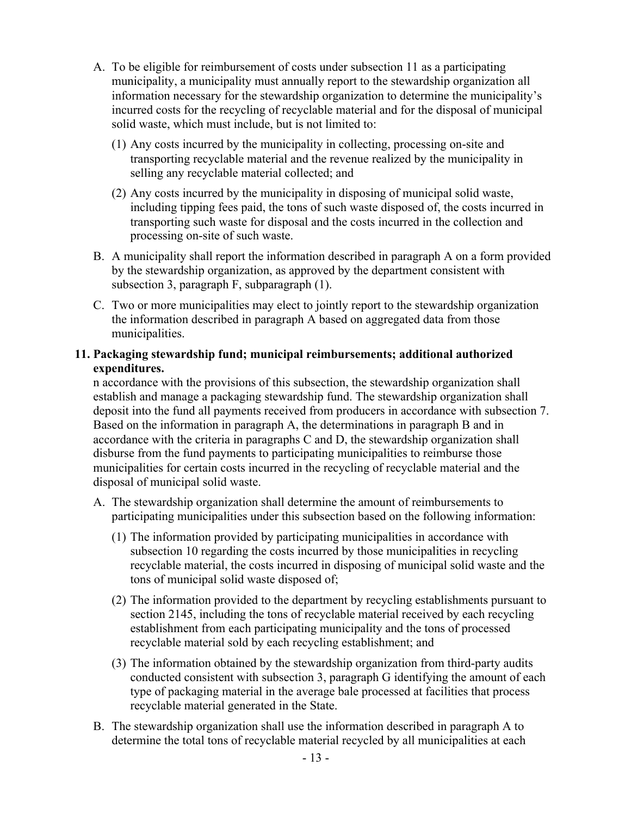- A. To be eligible for reimbursement of costs under subsection 11 as a participating municipality, a municipality must annually report to the stewardship organization all information necessary for the stewardship organization to determine the municipality's incurred costs for the recycling of recyclable material and for the disposal of municipal solid waste, which must include, but is not limited to:
	- (1) Any costs incurred by the municipality in collecting, processing on-site and transporting recyclable material and the revenue realized by the municipality in selling any recyclable material collected; and
	- (2) Any costs incurred by the municipality in disposing of municipal solid waste, including tipping fees paid, the tons of such waste disposed of, the costs incurred in transporting such waste for disposal and the costs incurred in the collection and processing on-site of such waste.
- B. A municipality shall report the information described in paragraph A on a form provided by the stewardship organization, as approved by the department consistent with subsection 3, paragraph F, subparagraph (1).
- C. Two or more municipalities may elect to jointly report to the stewardship organization the information described in paragraph A based on aggregated data from those municipalities.

# **11. Packaging stewardship fund; municipal reimbursements; additional authorized expenditures.**

n accordance with the provisions of this subsection, the stewardship organization shall establish and manage a packaging stewardship fund. The stewardship organization shall deposit into the fund all payments received from producers in accordance with subsection 7. Based on the information in paragraph A, the determinations in paragraph B and in accordance with the criteria in paragraphs C and D, the stewardship organization shall disburse from the fund payments to participating municipalities to reimburse those municipalities for certain costs incurred in the recycling of recyclable material and the disposal of municipal solid waste.

- A. The stewardship organization shall determine the amount of reimbursements to participating municipalities under this subsection based on the following information:
	- (1) The information provided by participating municipalities in accordance with subsection 10 regarding the costs incurred by those municipalities in recycling recyclable material, the costs incurred in disposing of municipal solid waste and the tons of municipal solid waste disposed of;
	- (2) The information provided to the department by recycling establishments pursuant to section 2145, including the tons of recyclable material received by each recycling establishment from each participating municipality and the tons of processed recyclable material sold by each recycling establishment; and
	- (3) The information obtained by the stewardship organization from third-party audits conducted consistent with subsection 3, paragraph G identifying the amount of each type of packaging material in the average bale processed at facilities that process recyclable material generated in the State.
- B. The stewardship organization shall use the information described in paragraph A to determine the total tons of recyclable material recycled by all municipalities at each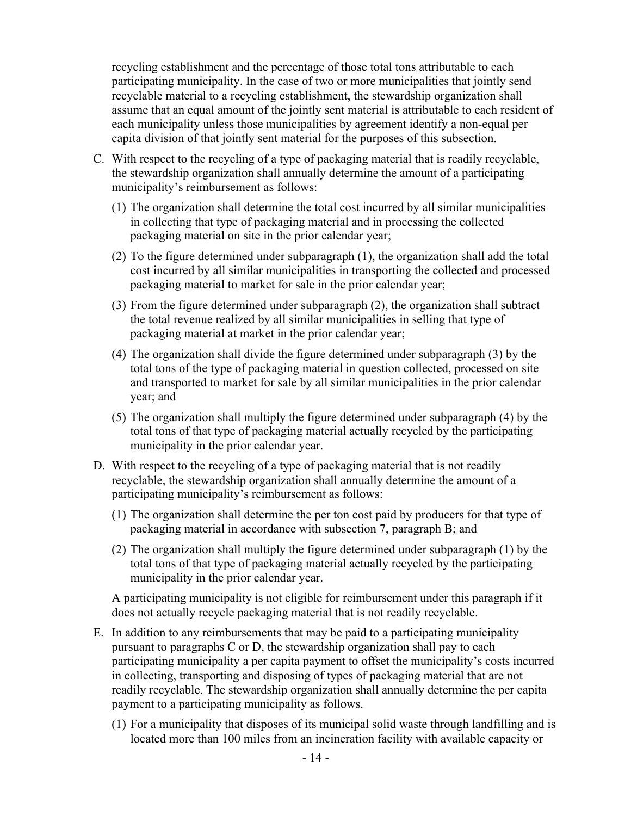recycling establishment and the percentage of those total tons attributable to each participating municipality. In the case of two or more municipalities that jointly send recyclable material to a recycling establishment, the stewardship organization shall assume that an equal amount of the jointly sent material is attributable to each resident of each municipality unless those municipalities by agreement identify a non-equal per capita division of that jointly sent material for the purposes of this subsection.

- C. With respect to the recycling of a type of packaging material that is readily recyclable, the stewardship organization shall annually determine the amount of a participating municipality's reimbursement as follows:
	- (1) The organization shall determine the total cost incurred by all similar municipalities in collecting that type of packaging material and in processing the collected packaging material on site in the prior calendar year;
	- (2) To the figure determined under subparagraph (1), the organization shall add the total cost incurred by all similar municipalities in transporting the collected and processed packaging material to market for sale in the prior calendar year;
	- (3) From the figure determined under subparagraph (2), the organization shall subtract the total revenue realized by all similar municipalities in selling that type of packaging material at market in the prior calendar year;
	- (4) The organization shall divide the figure determined under subparagraph (3) by the total tons of the type of packaging material in question collected, processed on site and transported to market for sale by all similar municipalities in the prior calendar year; and
	- (5) The organization shall multiply the figure determined under subparagraph (4) by the total tons of that type of packaging material actually recycled by the participating municipality in the prior calendar year.
- D. With respect to the recycling of a type of packaging material that is not readily recyclable, the stewardship organization shall annually determine the amount of a participating municipality's reimbursement as follows:
	- (1) The organization shall determine the per ton cost paid by producers for that type of packaging material in accordance with subsection 7, paragraph B; and
	- (2) The organization shall multiply the figure determined under subparagraph (1) by the total tons of that type of packaging material actually recycled by the participating municipality in the prior calendar year.

A participating municipality is not eligible for reimbursement under this paragraph if it does not actually recycle packaging material that is not readily recyclable.

- E. In addition to any reimbursements that may be paid to a participating municipality pursuant to paragraphs C or D, the stewardship organization shall pay to each participating municipality a per capita payment to offset the municipality's costs incurred in collecting, transporting and disposing of types of packaging material that are not readily recyclable. The stewardship organization shall annually determine the per capita payment to a participating municipality as follows.
	- (1) For a municipality that disposes of its municipal solid waste through landfilling and is located more than 100 miles from an incineration facility with available capacity or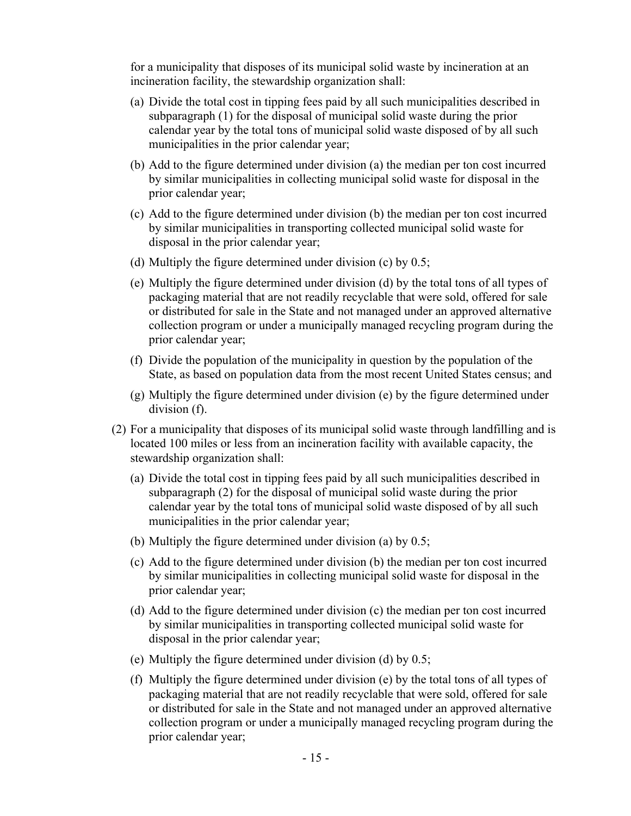for a municipality that disposes of its municipal solid waste by incineration at an incineration facility, the stewardship organization shall:

- (a) Divide the total cost in tipping fees paid by all such municipalities described in subparagraph (1) for the disposal of municipal solid waste during the prior calendar year by the total tons of municipal solid waste disposed of by all such municipalities in the prior calendar year;
- (b) Add to the figure determined under division (a) the median per ton cost incurred by similar municipalities in collecting municipal solid waste for disposal in the prior calendar year;
- (c) Add to the figure determined under division (b) the median per ton cost incurred by similar municipalities in transporting collected municipal solid waste for disposal in the prior calendar year;
- (d) Multiply the figure determined under division (c) by 0.5;
- (e) Multiply the figure determined under division (d) by the total tons of all types of packaging material that are not readily recyclable that were sold, offered for sale or distributed for sale in the State and not managed under an approved alternative collection program or under a municipally managed recycling program during the prior calendar year;
- (f) Divide the population of the municipality in question by the population of the State, as based on population data from the most recent United States census; and
- (g) Multiply the figure determined under division (e) by the figure determined under division (f).
- (2) For a municipality that disposes of its municipal solid waste through landfilling and is located 100 miles or less from an incineration facility with available capacity, the stewardship organization shall:
	- (a) Divide the total cost in tipping fees paid by all such municipalities described in subparagraph (2) for the disposal of municipal solid waste during the prior calendar year by the total tons of municipal solid waste disposed of by all such municipalities in the prior calendar year;
	- (b) Multiply the figure determined under division (a) by 0.5;
	- (c) Add to the figure determined under division (b) the median per ton cost incurred by similar municipalities in collecting municipal solid waste for disposal in the prior calendar year;
	- (d) Add to the figure determined under division (c) the median per ton cost incurred by similar municipalities in transporting collected municipal solid waste for disposal in the prior calendar year;
	- (e) Multiply the figure determined under division (d) by 0.5;
	- (f) Multiply the figure determined under division (e) by the total tons of all types of packaging material that are not readily recyclable that were sold, offered for sale or distributed for sale in the State and not managed under an approved alternative collection program or under a municipally managed recycling program during the prior calendar year;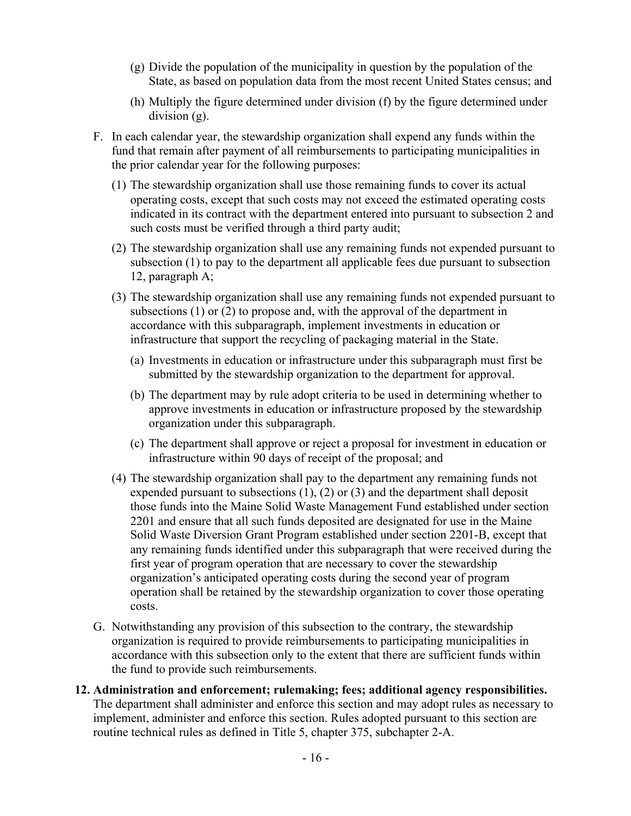- (g) Divide the population of the municipality in question by the population of the State, as based on population data from the most recent United States census; and
- (h) Multiply the figure determined under division (f) by the figure determined under division (g).
- F. In each calendar year, the stewardship organization shall expend any funds within the fund that remain after payment of all reimbursements to participating municipalities in the prior calendar year for the following purposes:
	- (1) The stewardship organization shall use those remaining funds to cover its actual operating costs, except that such costs may not exceed the estimated operating costs indicated in its contract with the department entered into pursuant to subsection 2 and such costs must be verified through a third party audit;
	- (2) The stewardship organization shall use any remaining funds not expended pursuant to subsection (1) to pay to the department all applicable fees due pursuant to subsection 12, paragraph A;
	- (3) The stewardship organization shall use any remaining funds not expended pursuant to subsections (1) or (2) to propose and, with the approval of the department in accordance with this subparagraph, implement investments in education or infrastructure that support the recycling of packaging material in the State.
		- (a) Investments in education or infrastructure under this subparagraph must first be submitted by the stewardship organization to the department for approval.
		- (b) The department may by rule adopt criteria to be used in determining whether to approve investments in education or infrastructure proposed by the stewardship organization under this subparagraph.
		- (c) The department shall approve or reject a proposal for investment in education or infrastructure within 90 days of receipt of the proposal; and
	- (4) The stewardship organization shall pay to the department any remaining funds not expended pursuant to subsections (1), (2) or (3) and the department shall deposit those funds into the Maine Solid Waste Management Fund established under section 2201 and ensure that all such funds deposited are designated for use in the Maine Solid Waste Diversion Grant Program established under section 2201-B, except that any remaining funds identified under this subparagraph that were received during the first year of program operation that are necessary to cover the stewardship organization's anticipated operating costs during the second year of program operation shall be retained by the stewardship organization to cover those operating costs.
- G. Notwithstanding any provision of this subsection to the contrary, the stewardship organization is required to provide reimbursements to participating municipalities in accordance with this subsection only to the extent that there are sufficient funds within the fund to provide such reimbursements.
- **12. Administration and enforcement; rulemaking; fees; additional agency responsibilities.** The department shall administer and enforce this section and may adopt rules as necessary to implement, administer and enforce this section. Rules adopted pursuant to this section are routine technical rules as defined in Title 5, chapter 375, subchapter 2-A.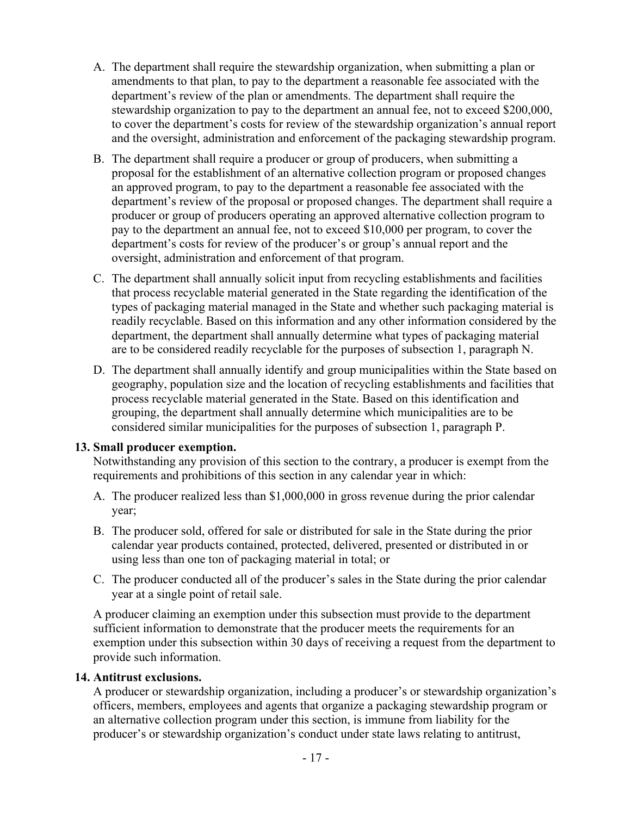- A. The department shall require the stewardship organization, when submitting a plan or amendments to that plan, to pay to the department a reasonable fee associated with the department's review of the plan or amendments. The department shall require the stewardship organization to pay to the department an annual fee, not to exceed \$200,000, to cover the department's costs for review of the stewardship organization's annual report and the oversight, administration and enforcement of the packaging stewardship program.
- B. The department shall require a producer or group of producers, when submitting a proposal for the establishment of an alternative collection program or proposed changes an approved program, to pay to the department a reasonable fee associated with the department's review of the proposal or proposed changes. The department shall require a producer or group of producers operating an approved alternative collection program to pay to the department an annual fee, not to exceed \$10,000 per program, to cover the department's costs for review of the producer's or group's annual report and the oversight, administration and enforcement of that program.
- C. The department shall annually solicit input from recycling establishments and facilities that process recyclable material generated in the State regarding the identification of the types of packaging material managed in the State and whether such packaging material is readily recyclable. Based on this information and any other information considered by the department, the department shall annually determine what types of packaging material are to be considered readily recyclable for the purposes of subsection 1, paragraph N.
- D. The department shall annually identify and group municipalities within the State based on geography, population size and the location of recycling establishments and facilities that process recyclable material generated in the State. Based on this identification and grouping, the department shall annually determine which municipalities are to be considered similar municipalities for the purposes of subsection 1, paragraph P.

# **13. Small producer exemption.**

Notwithstanding any provision of this section to the contrary, a producer is exempt from the requirements and prohibitions of this section in any calendar year in which:

- A. The producer realized less than \$1,000,000 in gross revenue during the prior calendar year;
- B. The producer sold, offered for sale or distributed for sale in the State during the prior calendar year products contained, protected, delivered, presented or distributed in or using less than one ton of packaging material in total; or
- C. The producer conducted all of the producer's sales in the State during the prior calendar year at a single point of retail sale.

A producer claiming an exemption under this subsection must provide to the department sufficient information to demonstrate that the producer meets the requirements for an exemption under this subsection within 30 days of receiving a request from the department to provide such information.

# **14. Antitrust exclusions.**

A producer or stewardship organization, including a producer's or stewardship organization's officers, members, employees and agents that organize a packaging stewardship program or an alternative collection program under this section, is immune from liability for the producer's or stewardship organization's conduct under state laws relating to antitrust,